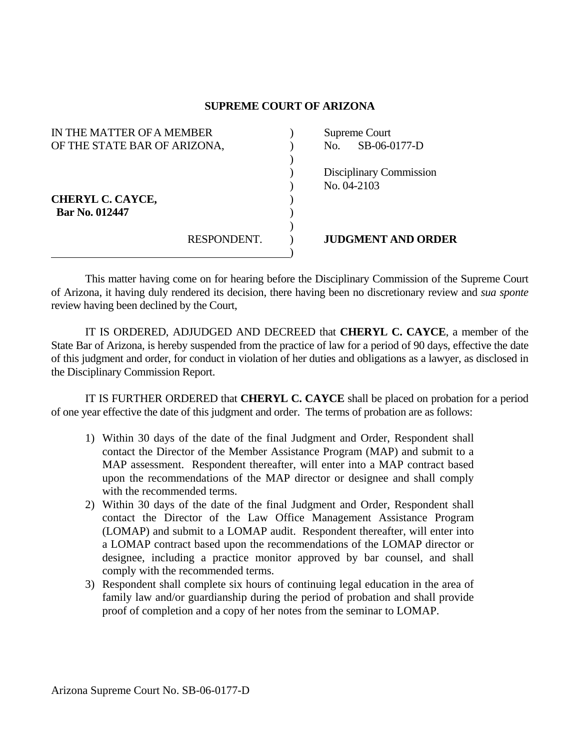## **SUPREME COURT OF ARIZONA**

| IN THE MATTER OF A MEMBER                 |             | Supreme Court |                                               |
|-------------------------------------------|-------------|---------------|-----------------------------------------------|
| OF THE STATE BAR OF ARIZONA,              |             | No.           | SB-06-0177-D                                  |
| <b>CHERYL C. CAYCE,</b><br>Bar No. 012447 |             |               | <b>Disciplinary Commission</b><br>No. 04-2103 |
|                                           | RESPONDENT. |               | <b>JUDGMENT AND ORDER</b>                     |

 This matter having come on for hearing before the Disciplinary Commission of the Supreme Court of Arizona, it having duly rendered its decision, there having been no discretionary review and *sua sponte* review having been declined by the Court,

 IT IS ORDERED, ADJUDGED AND DECREED that **CHERYL C. CAYCE**, a member of the State Bar of Arizona, is hereby suspended from the practice of law for a period of 90 days, effective the date of this judgment and order, for conduct in violation of her duties and obligations as a lawyer, as disclosed in the Disciplinary Commission Report.

 IT IS FURTHER ORDERED that **CHERYL C. CAYCE** shall be placed on probation for a period of one year effective the date of this judgment and order. The terms of probation are as follows:

- 1) Within 30 days of the date of the final Judgment and Order, Respondent shall contact the Director of the Member Assistance Program (MAP) and submit to a MAP assessment. Respondent thereafter, will enter into a MAP contract based upon the recommendations of the MAP director or designee and shall comply with the recommended terms.
- 2) Within 30 days of the date of the final Judgment and Order, Respondent shall contact the Director of the Law Office Management Assistance Program (LOMAP) and submit to a LOMAP audit. Respondent thereafter, will enter into a LOMAP contract based upon the recommendations of the LOMAP director or designee, including a practice monitor approved by bar counsel, and shall comply with the recommended terms.
- 3) Respondent shall complete six hours of continuing legal education in the area of family law and/or guardianship during the period of probation and shall provide proof of completion and a copy of her notes from the seminar to LOMAP.